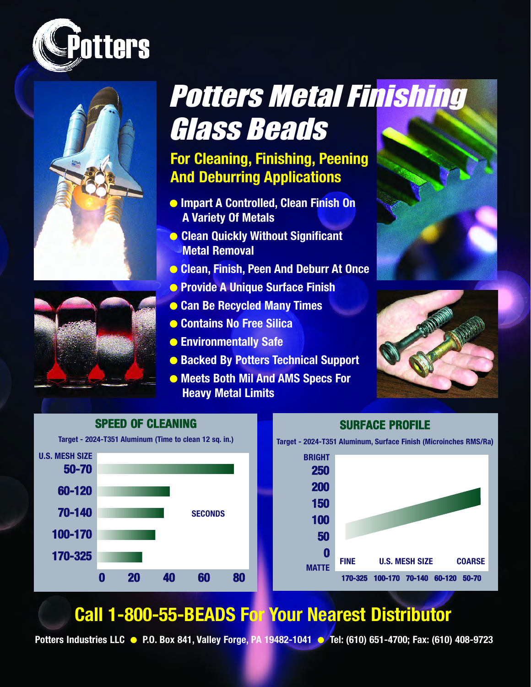





# Potters Metal Finishing Glass Beads

### **For Cleaning, Finishing, Peening And Deburring Applications**

- **Impart A Controlled, Clean Finish On A Variety Of Metals**
- **Clean Quickly Without Significant Metal Removal**
- **Clean, Finish, Peen And Deburr At Once**
- **Provide A Unique Surface Finish**
- **Can Be Recycled Many Times**
- **Contains No Free Silica**
- **Environmentally Safe**
- **Backed By Potters Technical Support**
- **Meets Both Mil And AMS Specs For Heavy Metal Limits**







## **Call 1-800-55-BEADS For Your Nearest Distributor**

**Potters Industries LLC** ● **P.O. Box 841, Valley Forge, PA 19482-1041** ● **Tel: (610) 651-4700; Fax: (610) 408-9723**